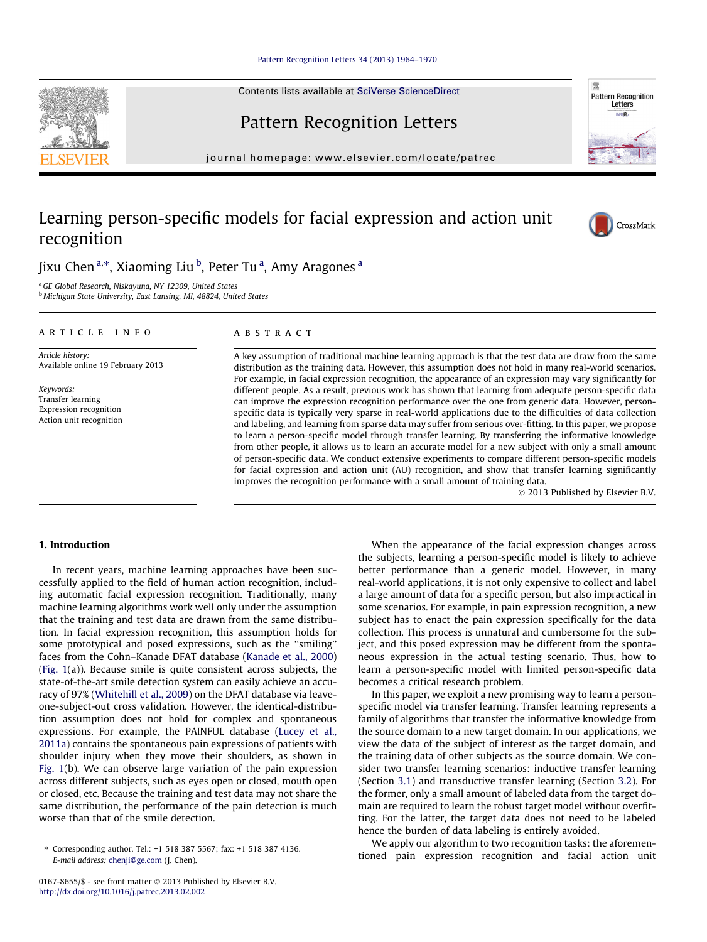## [Pattern Recognition Letters 34 \(2013\) 1964–1970](http://dx.doi.org/10.1016/j.patrec.2013.02.002)

Contents lists available at [SciVerse ScienceDirect](http://www.sciencedirect.com/science/journal/01678655)

# Pattern Recognition Letters

journal homepage: [www.elsevier.com/locate/patrec](http://www.elsevier.com/locate/patrec)

## Learning person-specific models for facial expression and action unit recognition

Jixu Chen <sup>a,\*</sup>, Xiaoming Liu <sup>b</sup>, Peter Tu <sup>a</sup>, Amy Aragones <sup>a</sup>

<sup>a</sup> GE Global Research, Niskayuna, NY 12309, United States <sup>b</sup> Michigan State University, East Lansing, MI, 48824, United States

## article info

Article history: Available online 19 February 2013

Keywords: Transfer learning Expression recognition Action unit recognition

## ABSTRACT

A key assumption of traditional machine learning approach is that the test data are draw from the same distribution as the training data. However, this assumption does not hold in many real-world scenarios. For example, in facial expression recognition, the appearance of an expression may vary significantly for different people. As a result, previous work has shown that learning from adequate person-specific data can improve the expression recognition performance over the one from generic data. However, personspecific data is typically very sparse in real-world applications due to the difficulties of data collection and labeling, and learning from sparse data may suffer from serious over-fitting. In this paper, we propose to learn a person-specific model through transfer learning. By transferring the informative knowledge from other people, it allows us to learn an accurate model for a new subject with only a small amount of person-specific data. We conduct extensive experiments to compare different person-specific models for facial expression and action unit (AU) recognition, and show that transfer learning significantly improves the recognition performance with a small amount of training data.

© 2013 Published by Elsevier B.V.

## 1. Introduction

In recent years, machine learning approaches have been successfully applied to the field of human action recognition, including automatic facial expression recognition. Traditionally, many machine learning algorithms work well only under the assumption that the training and test data are drawn from the same distribution. In facial expression recognition, this assumption holds for some prototypical and posed expressions, such as the ''smiling'' faces from the Cohn–Kanade DFAT database ([Kanade et al., 2000\)](#page-5-0) ([Fig. 1](#page-1-0)(a)). Because smile is quite consistent across subjects, the state-of-the-art smile detection system can easily achieve an accuracy of 97% [\(Whitehill et al., 2009\)](#page-5-0) on the DFAT database via leaveone-subject-out cross validation. However, the identical-distribution assumption does not hold for complex and spontaneous expressions. For example, the PAINFUL database ([Lucey et al.,](#page-5-0) [2011a\)](#page-5-0) contains the spontaneous pain expressions of patients with shoulder injury when they move their shoulders, as shown in [Fig. 1](#page-1-0)(b). We can observe large variation of the pain expression across different subjects, such as eyes open or closed, mouth open or closed, etc. Because the training and test data may not share the same distribution, the performance of the pain detection is much worse than that of the smile detection.

When the appearance of the facial expression changes across the subjects, learning a person-specific model is likely to achieve better performance than a generic model. However, in many real-world applications, it is not only expensive to collect and label a large amount of data for a specific person, but also impractical in some scenarios. For example, in pain expression recognition, a new subject has to enact the pain expression specifically for the data collection. This process is unnatural and cumbersome for the subject, and this posed expression may be different from the spontaneous expression in the actual testing scenario. Thus, how to learn a person-specific model with limited person-specific data becomes a critical research problem.

In this paper, we exploit a new promising way to learn a personspecific model via transfer learning. Transfer learning represents a family of algorithms that transfer the informative knowledge from the source domain to a new target domain. In our applications, we view the data of the subject of interest as the target domain, and the training data of other subjects as the source domain. We consider two transfer learning scenarios: inductive transfer learning (Section [3.1\)](#page-2-0) and transductive transfer learning (Section [3.2\)](#page-3-0). For the former, only a small amount of labeled data from the target domain are required to learn the robust target model without overfitting. For the latter, the target data does not need to be labeled hence the burden of data labeling is entirely avoided.

We apply our algorithm to two recognition tasks: the aforementioned pain expression recognition and facial action unit









<sup>⇑</sup> Corresponding author. Tel.: +1 518 387 5567; fax: +1 518 387 4136. E-mail address: [chenji@ge.com](mailto:chenji@ge.com) (J. Chen).

<sup>0167-8655/\$ -</sup> see front matter  $\odot$  2013 Published by Elsevier B.V. <http://dx.doi.org/10.1016/j.patrec.2013.02.002>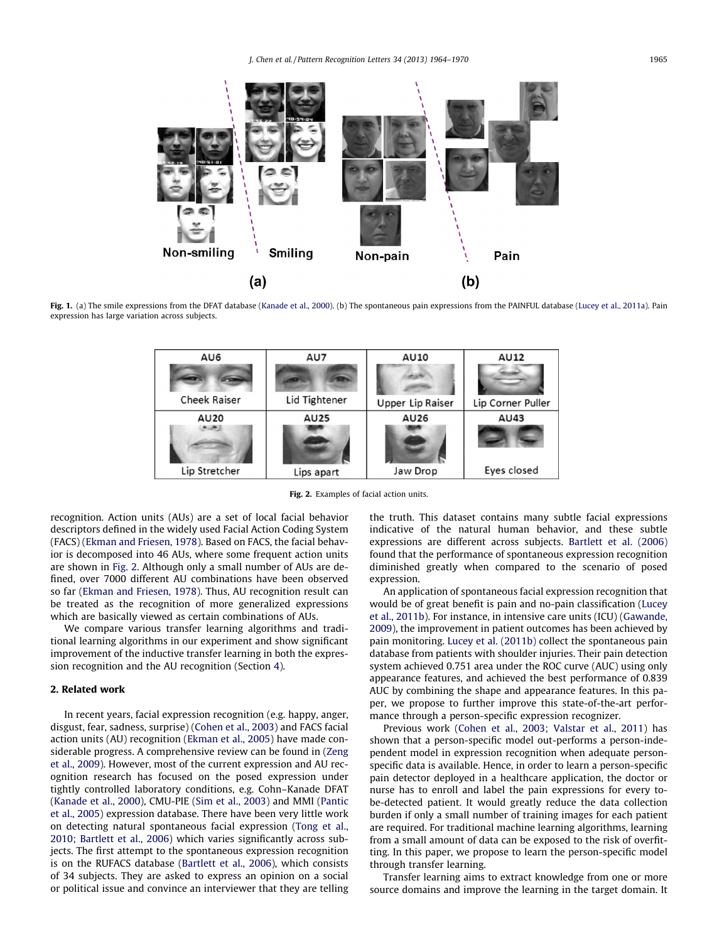<span id="page-1-0"></span>

Fig. 1. (a) The smile expressions from the DFAT database [\(Kanade et al., 2000\)](#page-5-0). (b) The spontaneous pain expressions from the PAINFUL database ([Lucey et al., 2011a\)](#page-5-0). Pain expression has large variation across subjects.



Fig. 2. Examples of facial action units.

recognition. Action units (AUs) are a set of local facial behavior descriptors defined in the widely used Facial Action Coding System (FACS) [\(Ekman and Friesen, 1978](#page-5-0)). Based on FACS, the facial behavior is decomposed into 46 AUs, where some frequent action units are shown in Fig. 2. Although only a small number of AUs are defined, over 7000 different AU combinations have been observed so far ([Ekman and Friesen, 1978\)](#page-5-0). Thus, AU recognition result can be treated as the recognition of more generalized expressions which are basically viewed as certain combinations of AUs.

We compare various transfer learning algorithms and traditional learning algorithms in our experiment and show significant improvement of the inductive transfer learning in both the expression recognition and the AU recognition (Section [4\)](#page-3-0).

## 2. Related work

In recent years, facial expression recognition (e.g. happy, anger, disgust, fear, sadness, surprise) [\(Cohen et al., 2003](#page-5-0)) and FACS facial action units (AU) recognition ([Ekman et al., 2005\)](#page-5-0) have made considerable progress. A comprehensive review can be found in [\(Zeng](#page-5-0) [et al., 2009](#page-5-0)). However, most of the current expression and AU recognition research has focused on the posed expression under tightly controlled laboratory conditions, e.g. Cohn–Kanade DFAT ([Kanade et al., 2000](#page-5-0)), CMU-PIE [\(Sim et al., 2003](#page-5-0)) and MMI [\(Pantic](#page-5-0) [et al., 2005](#page-5-0)) expression database. There have been very little work on detecting natural spontaneous facial expression [\(Tong et al.,](#page-5-0) [2010; Bartlett et al., 2006](#page-5-0)) which varies significantly across subjects. The first attempt to the spontaneous expression recognition is on the RUFACS database [\(Bartlett et al., 2006\)](#page-5-0), which consists of 34 subjects. They are asked to express an opinion on a social or political issue and convince an interviewer that they are telling the truth. This dataset contains many subtle facial expressions indicative of the natural human behavior, and these subtle expressions are different across subjects. [Bartlett et al. \(2006\)](#page-5-0) found that the performance of spontaneous expression recognition diminished greatly when compared to the scenario of posed expression.

An application of spontaneous facial expression recognition that would be of great benefit is pain and no-pain classification ([Lucey](#page-5-0) [et al., 2011b\)](#page-5-0). For instance, in intensive care units (ICU) [\(Gawande,](#page-5-0) [2009](#page-5-0)), the improvement in patient outcomes has been achieved by pain monitoring. [Lucey et al. \(2011b\)](#page-5-0) collect the spontaneous pain database from patients with shoulder injuries. Their pain detection system achieved 0.751 area under the ROC curve (AUC) using only appearance features, and achieved the best performance of 0.839 AUC by combining the shape and appearance features. In this paper, we propose to further improve this state-of-the-art performance through a person-specific expression recognizer.

Previous work [\(Cohen et al., 2003; Valstar et al., 2011](#page-5-0)) has shown that a person-specific model out-performs a person-independent model in expression recognition when adequate personspecific data is available. Hence, in order to learn a person-specific pain detector deployed in a healthcare application, the doctor or nurse has to enroll and label the pain expressions for every tobe-detected patient. It would greatly reduce the data collection burden if only a small number of training images for each patient are required. For traditional machine learning algorithms, learning from a small amount of data can be exposed to the risk of overfitting. In this paper, we propose to learn the person-specific model through transfer learning.

Transfer learning aims to extract knowledge from one or more source domains and improve the learning in the target domain. It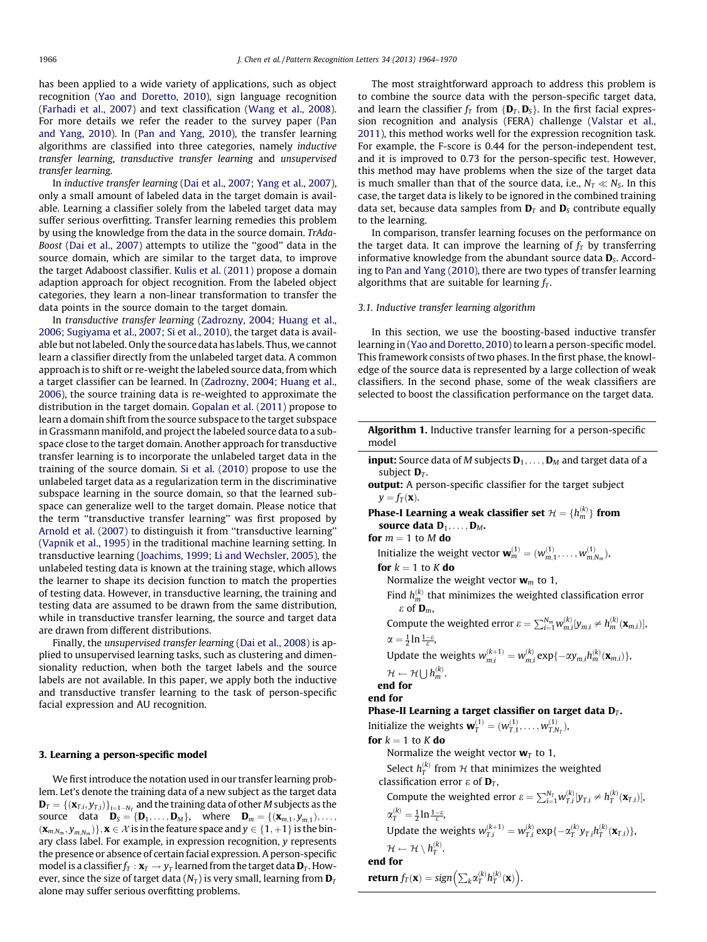<span id="page-2-0"></span>has been applied to a wide variety of applications, such as object recognition [\(Yao and Doretto, 2010](#page-5-0)), sign language recognition ([Farhadi et al., 2007](#page-5-0)) and text classification [\(Wang et al., 2008\)](#page-5-0). For more details we refer the reader to the survey paper ([Pan](#page-5-0) [and Yang, 2010\)](#page-5-0). In ([Pan and Yang, 2010\)](#page-5-0), the transfer learning algorithms are classified into three categories, namely inductive transfer learning, transductive transfer learning and unsupervised transfer learning.

In inductive transfer learning [\(Dai et al., 2007; Yang et al., 2007\)](#page-6-0), only a small amount of labeled data in the target domain is available. Learning a classifier solely from the labeled target data may suffer serious overfitting. Transfer learning remedies this problem by using the knowledge from the data in the source domain. TrAda-Boost [\(Dai et al., 2007\)](#page-6-0) attempts to utilize the ''good'' data in the source domain, which are similar to the target data, to improve the target Adaboost classifier. [Kulis et al. \(2011\)](#page-6-0) propose a domain adaption approach for object recognition. From the labeled object categories, they learn a non-linear transformation to transfer the data points in the source domain to the target domain.

In transductive transfer learning ([Zadrozny, 2004; Huang et al.,](#page-6-0) [2006; Sugiyama et al., 2007; Si et al., 2010](#page-6-0)), the target data is available but not labeled. Only the source data has labels. Thus, we cannot learn a classifier directly from the unlabeled target data. A common approach is to shift or re-weight the labeled source data, from which a target classifier can be learned. In ([Zadrozny, 2004; Huang et al.,](#page-6-0) [2006\)](#page-6-0), the source training data is re-weighted to approximate the distribution in the target domain. [Gopalan et al. \(2011\)](#page-6-0) propose to learn a domain shift from the source subspace to the target subspace in Grassmann manifold, and project the labeled source data to a subspace close to the target domain. Another approach for transductive transfer learning is to incorporate the unlabeled target data in the training of the source domain. [Si et al. \(2010\)](#page-6-0) propose to use the unlabeled target data as a regularization term in the discriminative subspace learning in the source domain, so that the learned subspace can generalize well to the target domain. Please notice that the term ''transductive transfer learning'' was first proposed by [Arnold et al. \(2007\)](#page-6-0) to distinguish it from "transductive learning" ([Vapnik et al., 1995](#page-6-0)) in the traditional machine learning setting. In transductive learning ([Joachims, 1999; Li and Wechsler, 2005](#page-6-0)), the unlabeled testing data is known at the training stage, which allows the learner to shape its decision function to match the properties of testing data. However, in transductive learning, the training and testing data are assumed to be drawn from the same distribution, while in transductive transfer learning, the source and target data are drawn from different distributions.

Finally, the unsupervised transfer learning [\(Dai et al., 2008](#page-6-0)) is applied to unsupervised learning tasks, such as clustering and dimensionality reduction, when both the target labels and the source labels are not available. In this paper, we apply both the inductive and transductive transfer learning to the task of person-specific facial expression and AU recognition.

## 3. Learning a person-specific model

We first introduce the notation used in our transfer learning problem. Let's denote the training data of a new subject as the target data  $\mathbf{D}_T = \{(\mathbf{x}_{T,i}, y_{T,i})\}_{i=1 \cdots N_T}$  and the training data of other M subjects as the source data  $\mathbf{D}_s = {\{\mathbf{D}_1, \ldots, \mathbf{D}_M\}}$ , where  $\mathbf{D}_m = {\{\mathbf{x}_{m,1}, y_{m,1}\}, \ldots, \mathbf{x}_{m,n}\}}$  $\{(\mathbf{x}_{m,N_m},y_{m,N_m})\}, \mathbf{x} \in \mathcal{X}$  is in the feature space and  $y \in \{1, +1\}$  is the binary class label. For example, in expression recognition, y represents the presence or absence of certain facial expression. A person-specific model is a classifier  $f_T : \mathbf{x}_T \to \gamma_T$  learned from the target data  $\mathbf{D}_T$ . However, since the size of target data  $(N_T)$  is very small, learning from  $D_T$ alone may suffer serious overfitting problems.

The most straightforward approach to address this problem is to combine the source data with the person-specific target data, and learn the classifier  $f_T$  from  $\{D_T, D_S\}$ . In the first facial expression recognition and analysis (FERA) challenge ([Valstar et al.,](#page-5-0) [2011\)](#page-5-0), this method works well for the expression recognition task. For example, the F-score is 0.44 for the person-independent test, and it is improved to 0.73 for the person-specific test. However, this method may have problems when the size of the target data is much smaller than that of the source data, i.e.,  $N_T \ll N_S$ . In this case, the target data is likely to be ignored in the combined training data set, because data samples from  $\mathbf{D}_T$  and  $\mathbf{D}_S$  contribute equally to the learning.

In comparison, transfer learning focuses on the performance on the target data. It can improve the learning of  $f<sub>T</sub>$  by transferring informative knowledge from the abundant source data  $D<sub>S</sub>$ . According to [Pan and Yang \(2010\)](#page-5-0), there are two types of transfer learning algorithms that are suitable for learning  $f<sub>T</sub>$ .

## 3.1. Inductive transfer learning algorithm

In this section, we use the boosting-based inductive transfer learning in [\(Yao and Doretto, 2010](#page-5-0)) to learn a person-specific model. This framework consists of two phases. In the first phase, the knowledge of the source data is represented by a large collection of weak classifiers. In the second phase, some of the weak classifiers are selected to boost the classification performance on the target data.

| <b>Algorithm 1.</b> Inductive transfer learning for a person-specific<br>model                                         |
|------------------------------------------------------------------------------------------------------------------------|
| <b>input:</b> Source data of M subjects $D_1, \ldots, D_M$ and target data of a<br>subject $D_T$ .                     |
| <b>output:</b> A person-specific classifier for the target subject<br>$y = f_T(\mathbf{x}).$                           |
| <b>Phase-I Learning a weak classifier set</b> $\mathcal{H} = \{h_m^{(k)}\}$ from                                       |
| source data $D_1, \ldots, D_M$ .                                                                                       |
| for $m = 1$ to M do                                                                                                    |
| Initialize the weight vector $\mathbf{w}_{m}^{(1)} = (w_{m,1}^{(1)}, \ldots, w_{m,N_m}^{(1)}),$                        |
| for $k = 1$ to K do                                                                                                    |
| Normalize the weight vector $w_m$ to 1,                                                                                |
| Find $h_m^{(k)}$ that minimizes the weighted classification error<br>$\varepsilon$ of $\mathbf{D}_m$ ,                 |
| Compute the weighted error $\varepsilon = \sum_{i=1}^{N_m} w_{m,i}^{(k)} [y_{m,i} \neq h_m^{(k)}(\mathbf{x}_{m,i})]$ , |
| $\alpha = \frac{1}{2} \ln \frac{1-\varepsilon}{\varepsilon},$                                                          |
| Update the weights $w_{m,i}^{(k+1)} = w_{m,i}^{(k)} \exp{\{-\alpha y_{m,i} h_m^{(k)}(\mathbf{x}_{m,i})\}},$            |
| $\mathcal{H} \leftarrow \mathcal{H} \cup h_m^{(k)}$ .                                                                  |
| end for                                                                                                                |
| end for                                                                                                                |
| Phase-II Learning a target classifier on target data $D_T$ .                                                           |
| Initialize the weights $\mathbf{w}_T^{(1)} = (w_{T,1}^{(1)}, \dots, w_{T,N_T}^{(1)}),$                                 |
| for $k = 1$ to K do                                                                                                    |
| Normalize the weight vector $w_T$ to 1,                                                                                |
| Select $h_{\tau}^{(k)}$ from H that minimizes the weighted                                                             |
| classification error $\varepsilon$ of $\mathbf{D}_T$ ,                                                                 |
| Compute the weighted error $\varepsilon = \sum_{i=1}^{N_T} w_{T,i}^{(k)} [y_{T,i} \neq h_T^{(k)}(\mathbf{x}_{T,i})]$ , |
| $\alpha_{\tau}^{(k)} = \frac{1}{2} \ln \frac{1-\varepsilon}{\varepsilon}$                                              |
| Update the weights $w_{T,i}^{(k+1)} = w_{T,i}^{(k)} \exp{\{-\alpha_T^{(k)} y_{T,i} h_T^{(k)}(\mathbf{x}_{T,i})\}},$    |
| $\mathcal{H} \leftarrow \mathcal{H} \setminus h_T^{(k)}$ .                                                             |
| end for                                                                                                                |
| <b>return</b> $f_T(\mathbf{x}) = sign\left(\sum_k \alpha_T^{(k)} h_T^{(k)}(\mathbf{x})\right)$ .                       |
|                                                                                                                        |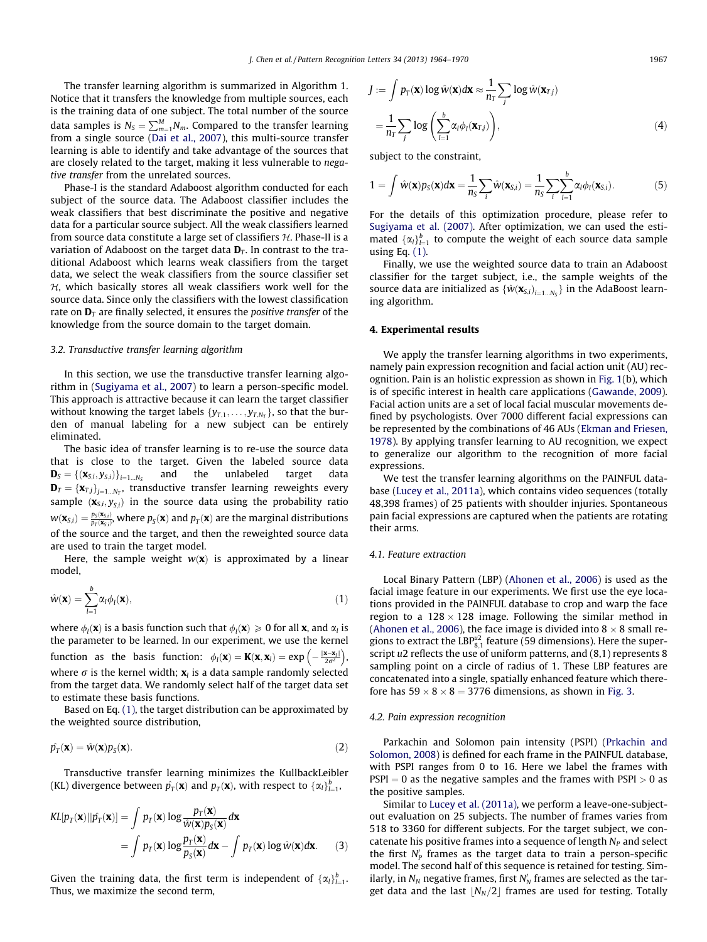<span id="page-3-0"></span>The transfer learning algorithm is summarized in Algorithm 1. Notice that it transfers the knowledge from multiple sources, each is the training data of one subject. The total number of the source data samples is  $N_S = \sum_{m=1}^M\!N_m.$  Compared to the transfer learning from a single source ([Dai et al., 2007\)](#page-6-0), this multi-source transfer learning is able to identify and take advantage of the sources that are closely related to the target, making it less vulnerable to negative transfer from the unrelated sources.

Phase-I is the standard Adaboost algorithm conducted for each subject of the source data. The Adaboost classifier includes the weak classifiers that best discriminate the positive and negative data for a particular source subject. All the weak classifiers learned from source data constitute a large set of classifiers  $H$ . Phase-II is a variation of Adaboost on the target data  $D<sub>T</sub>$ . In contrast to the traditional Adaboost which learns weak classifiers from the target data, we select the weak classifiers from the source classifier set  $H$ , which basically stores all weak classifiers work well for the source data. Since only the classifiers with the lowest classification rate on  $\mathbf{D}_T$  are finally selected, it ensures the *positive transfer* of the knowledge from the source domain to the target domain.

### 3.2. Transductive transfer learning algorithm

In this section, we use the transductive transfer learning algorithm in [\(Sugiyama et al., 2007](#page-6-0)) to learn a person-specific model. This approach is attractive because it can learn the target classifier without knowing the target labels  $\{y_{T,1}, \ldots, y_{T,N_T}\}$ , so that the burden of manual labeling for a new subject can be entirely eliminated.

The basic idea of transfer learning is to re-use the source data that is close to the target. Given the labeled source data  $\mathbf{D}_S = \{(\mathbf{x}_{S,i}, y_{S,i})\}_{i=1...N_S}$  and the unlabeled target data  $\mathbf{D}_T = {\mathbf{\{x}}_{T,j}\}_{j=1...N_T}$ , transductive transfer learning reweights every sample  $(\mathbf{x}_{s,i}, y_{s,i})$  in the source data using the probability ratio  $w(\mathbf{x}_{\mathcal{S},i})=\frac{p_{S}(\mathbf{x}_{\mathcal{S},i})}{p_{T}(\mathbf{x}_{\mathcal{S},i})}$ , where  $p_{S}(\mathbf{x})$  and  $p_{T}(\mathbf{x})$  are the marginal distributions of the source and the target, and then the reweighted source data are used to train the target model.

Here, the sample weight  $w(x)$  is approximated by a linear model,

$$
\hat{w}(\mathbf{x}) = \sum_{l=1}^{b} \alpha_l \phi_l(\mathbf{x}),\tag{1}
$$

where  $\phi_l(\mathbf{x})$  is a basis function such that  $\phi_l(\mathbf{x}) \geq 0$  for all **x**, and  $\alpha_l$  is the parameter to be learned. In our experiment, we use the kernel function as the basis function:  $\phi_l(\mathbf{x}) = \mathbf{K}(\mathbf{x}, \mathbf{x}_l) = \exp\left(-\frac{\|\mathbf{x} - \mathbf{x}_l\|}{2\sigma^2}\right)$  $\left(-\frac{\|\mathbf{x}-\mathbf{x}_l\|}{2\sigma^2}\right),$ where  $\sigma$  is the kernel width;  $\mathbf{x}_l$  is a data sample randomly selected from the target data. We randomly select half of the target data set to estimate these basis functions.

Based on Eq. (1), the target distribution can be approximated by the weighted source distribution,

$$
\hat{p_T}(\mathbf{x}) = \hat{w}(\mathbf{x}) p_S(\mathbf{x}). \tag{2}
$$

Transductive transfer learning minimizes the KullbackLeibler (KL) divergence between  $\hat{p_T}(\mathbf{x})$  and  $p_T(\mathbf{x})$ , with respect to  $\{\alpha_l\}_{l=1}^b$ ,

$$
KL[p_T(\mathbf{x})||\hat{p_T}(\mathbf{x})] = \int p_T(\mathbf{x}) \log \frac{p_T(\mathbf{x})}{\hat{w}(\mathbf{x})p_S(\mathbf{x})} d\mathbf{x}
$$
  
= 
$$
\int p_T(\mathbf{x}) \log \frac{p_T(\mathbf{x})}{p_S(\mathbf{x})} d\mathbf{x} - \int p_T(\mathbf{x}) \log \hat{w}(\mathbf{x}) d\mathbf{x}.
$$
 (3)

Given the training data, the first term is independent of  $\{\alpha_l\}_{l=1}^b$ . Thus, we maximize the second term,

$$
J := \int p_T(\mathbf{x}) \log \hat{w}(\mathbf{x}) d\mathbf{x} \approx \frac{1}{n_T} \sum_j \log \hat{w}(\mathbf{x}_{T,j})
$$

$$
= \frac{1}{n_T} \sum_j \log \left( \sum_{l=1}^b \alpha_l \phi_l(\mathbf{x}_{T,j}) \right), \tag{4}
$$

subject to the constraint,

$$
1 = \int \hat{w}(\mathbf{x})p_{S}(\mathbf{x})d\mathbf{x} = \frac{1}{n_{S}}\sum_{i}\hat{w}(\mathbf{x}_{S,i}) = \frac{1}{n_{S}}\sum_{i}\sum_{l=1}^{b}\alpha_{l}\phi_{l}(\mathbf{x}_{S,i}).
$$
 (5)

For the details of this optimization procedure, please refer to [Sugiyama et al. \(2007\)](#page-6-0). After optimization, we can used the estimated  $\{\alpha_i\}_{i=1}^b$  to compute the weight of each source data sample using Eq. (1).

Finally, we use the weighted source data to train an Adaboost classifier for the target subject, i.e., the sample weights of the source data are initialized as  $\{\hat{w}(\mathbf{x}_{s,i})_{i=1...N_S}\}$  in the AdaBoost learning algorithm.

### 4. Experimental results

We apply the transfer learning algorithms in two experiments, namely pain expression recognition and facial action unit (AU) recognition. Pain is an holistic expression as shown in [Fig. 1\(](#page-1-0)b), which is of specific interest in health care applications ([Gawande, 2009\)](#page-5-0). Facial action units are a set of local facial muscular movements defined by psychologists. Over 7000 different facial expressions can be represented by the combinations of 46 AUs ([Ekman and Friesen,](#page-5-0) [1978\)](#page-5-0). By applying transfer learning to AU recognition, we expect to generalize our algorithm to the recognition of more facial expressions.

We test the transfer learning algorithms on the PAINFUL database ([Lucey et al., 2011a\)](#page-5-0), which contains video sequences (totally 48,398 frames) of 25 patients with shoulder injuries. Spontaneous pain facial expressions are captured when the patients are rotating their arms.

#### 4.1. Feature extraction

Local Binary Pattern (LBP) ([Ahonen et al., 2006\)](#page-6-0) is used as the facial image feature in our experiments. We first use the eye locations provided in the PAINFUL database to crop and warp the face region to a  $128 \times 128$  image. Following the similar method in ([Ahonen et al., 2006\)](#page-6-0), the face image is divided into 8  $\times$  8 small regions to extract the LBP $_{8,1}^{\mu2}$  feature (59 dimensions). Here the superscript u2 reflects the use of uniform patterns, and (8,1) represents 8 sampling point on a circle of radius of 1. These LBP features are concatenated into a single, spatially enhanced feature which therefore has  $59 \times 8 \times 8 = 3776$  dimensions, as shown in [Fig. 3.](#page-4-0)

#### 4.2. Pain expression recognition

Parkachin and Solomon pain intensity (PSPI) ([Prkachin and](#page-6-0) [Solomon, 2008](#page-6-0)) is defined for each frame in the PAINFUL database, with PSPI ranges from 0 to 16. Here we label the frames with  $PSPI = 0$  as the negative samples and the frames with  $PSPI > 0$  as the positive samples.

Similar to [Lucey et al. \(2011a\)](#page-5-0), we perform a leave-one-subjectout evaluation on 25 subjects. The number of frames varies from 518 to 3360 for different subjects. For the target subject, we concatenate his positive frames into a sequence of length  $N_P$  and select the first  $N'_p$  frames as the target data to train a person-specific model. The second half of this sequence is retained for testing. Similarly, in  $N_N$  negative frames, first  $N_N'$  frames are selected as the target data and the last  $|N_N/2|$  frames are used for testing. Totally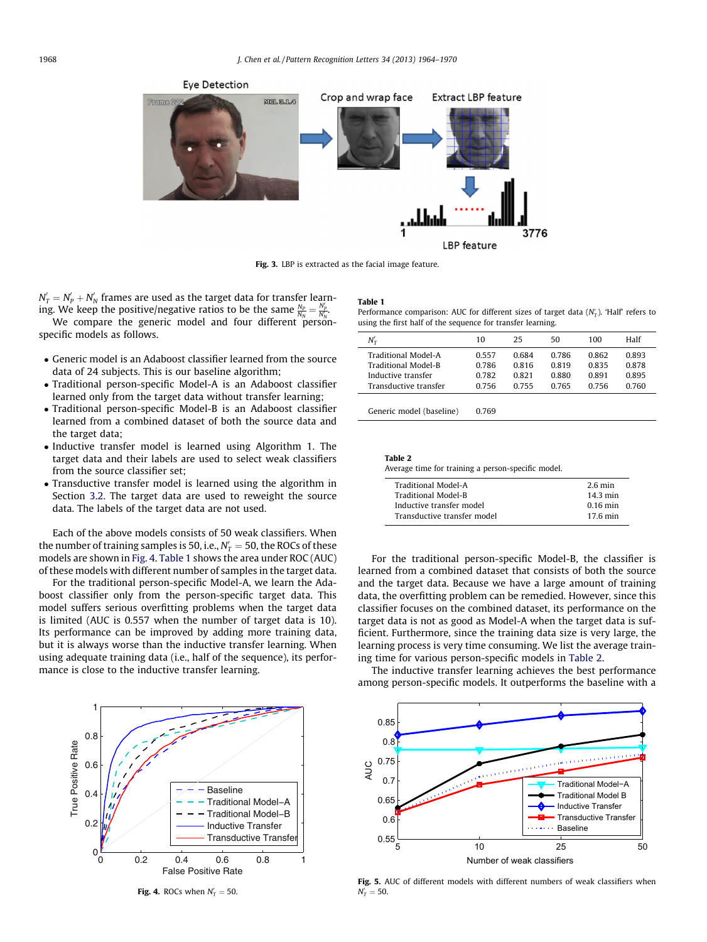<span id="page-4-0"></span>

Fig. 3. LBP is extracted as the facial image feature.

 $N'_T = N'_P + N'_N$  frames are used as the target data for transfer learning. We keep the positive/negative ratios to be the same  $\frac{N_P}{N_N} = \frac{N_P'}{N_N}$ .

We compare the generic model and four different personspecific models as follows.

- Generic model is an Adaboost classifier learned from the source data of 24 subjects. This is our baseline algorithm;
- Traditional person-specific Model-A is an Adaboost classifier learned only from the target data without transfer learning;
- Traditional person-specific Model-B is an Adaboost classifier learned from a combined dataset of both the source data and the target data;
- Inductive transfer model is learned using Algorithm 1. The target data and their labels are used to select weak classifiers from the source classifier set;
- Transductive transfer model is learned using the algorithm in Section [3.2](#page-3-0). The target data are used to reweight the source data. The labels of the target data are not used.

Each of the above models consists of 50 weak classifiers. When the number of training samples is 50, i.e.,  $N_T^\prime =$  50, the ROCs of these models are shown in Fig. 4. Table 1 shows the area under ROC (AUC) of these models with different number of samples in the target data.

For the traditional person-specific Model-A, we learn the Adaboost classifier only from the person-specific target data. This model suffers serious overfitting problems when the target data is limited (AUC is 0.557 when the number of target data is 10). Its performance can be improved by adding more training data, but it is always worse than the inductive transfer learning. When using adequate training data (i.e., half of the sequence), its performance is close to the inductive transfer learning.



**Fig. 4.** ROCs when  $N'_T = 50$ .

#### Table 1

Performance comparison: AUC for different sizes of target data  $(N'_T)$ . 'Half' refers to using the first half of the sequence for transfer learning.

| $N'_\tau$             | 10    | 25    | 50    | 100   | Half  |
|-----------------------|-------|-------|-------|-------|-------|
| Traditional Model-A   | 0.557 | 0.684 | 0.786 | 0.862 | 0.893 |
| Traditional Model-B   | 0.786 | 0.816 | 0.819 | 0.835 | 0.878 |
| Inductive transfer    | 0.782 | 0.821 | 0.880 | 0.891 | 0.895 |
| Transductive transfer | 0.756 | 0.755 | 0.765 | 0.756 | 0.760 |
|                       |       |       |       |       |       |

Generic model (baseline) 0.769

| Table 2<br>Average time for training a person-specific model. |                    |  |  |  |  |
|---------------------------------------------------------------|--------------------|--|--|--|--|
| Traditional Model-A                                           | $2.6 \text{ min}$  |  |  |  |  |
| <b>Traditional Model-B</b>                                    | $14.3 \text{ min}$ |  |  |  |  |
| Inductive transfer model                                      | $0.16$ min         |  |  |  |  |
| Transductive transfer model                                   | $176$ min          |  |  |  |  |

For the traditional person-specific Model-B, the classifier is learned from a combined dataset that consists of both the source and the target data. Because we have a large amount of training data, the overfitting problem can be remedied. However, since this classifier focuses on the combined dataset, its performance on the target data is not as good as Model-A when the target data is sufficient. Furthermore, since the training data size is very large, the learning process is very time consuming. We list the average training time for various person-specific models in Table 2.

The inductive transfer learning achieves the best performance among person-specific models. It outperforms the baseline with a



Fig. 5. AUC of different models with different numbers of weak classifiers when  $N_T' = 50.$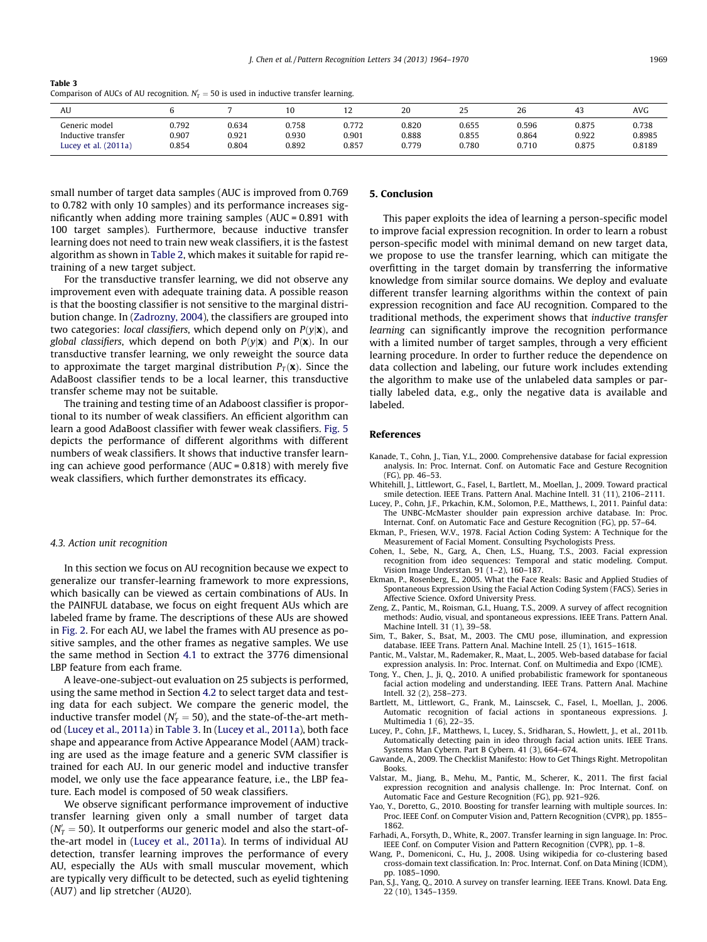<span id="page-5-0"></span>Table 3 Comparison of AUCs of AU recognition.  $N_T' = 50$  is used in inductive transfer learning.

| AU                     |       |       |       | . .   | 20    | 25    | 26    | 43    | AVG    |
|------------------------|-------|-------|-------|-------|-------|-------|-------|-------|--------|
| Generic model          | 0.792 | 0.634 | 0.758 | 0.772 | 0.820 | 0.655 | 0.596 | 0.875 | 0.738  |
| Inductive transfer     | 0.907 | 0.921 | 0.930 | 0.901 | 0.888 | 0.855 | 0.864 | 0.922 | 0.8985 |
| Lucey et al. $(2011a)$ | 0.854 | 0.804 | 0.892 | 0.857 | 0.779 | 0.780 | 0.710 | 0.875 | 0.8189 |

small number of target data samples (AUC is improved from 0.769 to 0.782 with only 10 samples) and its performance increases significantly when adding more training samples (AUC = 0.891 with 100 target samples). Furthermore, because inductive transfer learning does not need to train new weak classifiers, it is the fastest algorithm as shown in [Table 2](#page-4-0), which makes it suitable for rapid retraining of a new target subject.

For the transductive transfer learning, we did not observe any improvement even with adequate training data. A possible reason is that the boosting classifier is not sensitive to the marginal distribution change. In ([Zadrozny, 2004\)](#page-6-0), the classifiers are grouped into two categories: local classifiers, which depend only on  $P(y|\mathbf{x})$ , and global classifiers, which depend on both  $P(y|\mathbf{x})$  and  $P(\mathbf{x})$ . In our transductive transfer learning, we only reweight the source data to approximate the target marginal distribution  $P_T(\mathbf{x})$ . Since the AdaBoost classifier tends to be a local learner, this transductive transfer scheme may not be suitable.

The training and testing time of an Adaboost classifier is proportional to its number of weak classifiers. An efficient algorithm can learn a good AdaBoost classifier with fewer weak classifiers. [Fig. 5](#page-4-0) depicts the performance of different algorithms with different numbers of weak classifiers. It shows that inductive transfer learning can achieve good performance (AUC = 0.818) with merely five weak classifiers, which further demonstrates its efficacy.

#### 4.3. Action unit recognition

In this section we focus on AU recognition because we expect to generalize our transfer-learning framework to more expressions, which basically can be viewed as certain combinations of AUs. In the PAINFUL database, we focus on eight frequent AUs which are labeled frame by frame. The descriptions of these AUs are showed in [Fig. 2](#page-1-0). For each AU, we label the frames with AU presence as positive samples, and the other frames as negative samples. We use the same method in Section [4.1](#page-3-0) to extract the 3776 dimensional LBP feature from each frame.

A leave-one-subject-out evaluation on 25 subjects is performed, using the same method in Section [4.2](#page-3-0) to select target data and testing data for each subject. We compare the generic model, the inductive transfer model ( $N_T' = 50$ ), and the state-of-the-art method (Lucey et al., 2011a) in Table 3. In (Lucey et al., 2011a), both face shape and appearance from Active Appearance Model (AAM) tracking are used as the image feature and a generic SVM classifier is trained for each AU. In our generic model and inductive transfer model, we only use the face appearance feature, i.e., the LBP feature. Each model is composed of 50 weak classifiers.

We observe significant performance improvement of inductive transfer learning given only a small number of target data ( $N_T' = 50$ ). It outperforms our generic model and also the start-ofthe-art model in (Lucey et al., 2011a). In terms of individual AU detection, transfer learning improves the performance of every AU, especially the AUs with small muscular movement, which are typically very difficult to be detected, such as eyelid tightening (AU7) and lip stretcher (AU20).

## 5. Conclusion

This paper exploits the idea of learning a person-specific model to improve facial expression recognition. In order to learn a robust person-specific model with minimal demand on new target data, we propose to use the transfer learning, which can mitigate the overfitting in the target domain by transferring the informative knowledge from similar source domains. We deploy and evaluate different transfer learning algorithms within the context of pain expression recognition and face AU recognition. Compared to the traditional methods, the experiment shows that inductive transfer learning can significantly improve the recognition performance with a limited number of target samples, through a very efficient learning procedure. In order to further reduce the dependence on data collection and labeling, our future work includes extending the algorithm to make use of the unlabeled data samples or partially labeled data, e.g., only the negative data is available and labeled.

## References

- Kanade, T., Cohn, J., Tian, Y.L., 2000. Comprehensive database for facial expression analysis. In: Proc. Internat. Conf. on Automatic Face and Gesture Recognition (FG), pp. 46–53.
- Whitehill, J., Littlewort, G., Fasel, I., Bartlett, M., Moellan, J., 2009. Toward practical smile detection. IEEE Trans. Pattern Anal. Machine Intell. 31 (11), 2106–2111.
- Lucey, P., Cohn, J.F., Prkachin, K.M., Solomon, P.E., Matthews, I., 2011. Painful data: The UNBC-McMaster shoulder pain expression archive database. In: Proc. Internat. Conf. on Automatic Face and Gesture Recognition (FG), pp. 57–64.
- Ekman, P., Friesen, W.V., 1978. Facial Action Coding System: A Technique for the Measurement of Facial Moment. Consulting Psychologists Press.
- Cohen, I., Sebe, N., Garg, A., Chen, L.S., Huang, T.S., 2003. Facial expression recognition from ideo sequences: Temporal and static modeling. Comput. Vision Image Understan. 91 (1–2), 160–187.
- Ekman, P., Rosenberg, E., 2005. What the Face Reals: Basic and Applied Studies of Spontaneous Expression Using the Facial Action Coding System (FACS). Series in Affective Science. Oxford University Press.
- Zeng, Z., Pantic, M., Roisman, G.I., Huang, T.S., 2009. A survey of affect recognition methods: Audio, visual, and spontaneous expressions. IEEE Trans. Pattern Anal. Machine Intell. 31 (1), 39–58.
- Sim, T., Baker, S., Bsat, M., 2003. The CMU pose, illumination, and expression database. IEEE Trans. Pattern Anal. Machine Intell. 25 (1), 1615–1618.
- Pantic, M., Valstar, M., Rademaker, R., Maat, L., 2005. Web-based database for facial expression analysis. In: Proc. Internat. Conf. on Multimedia and Expo (ICME).
- Tong, Y., Chen, J., Ji, Q., 2010. A unified probabilistic framework for spontaneous facial action modeling and understanding. IEEE Trans. Pattern Anal. Machine Intell. 32 (2), 258–273.
- Bartlett, M., Littlewort, G., Frank, M., Lainscsek, C., Fasel, I., Moellan, J., 2006. Automatic recognition of facial actions in spontaneous expressions. J. Multimedia 1 (6), 22–35.
- Lucey, P., Cohn, J.F., Matthews, I., Lucey, S., Sridharan, S., Howlett, J., et al., 2011b. Automatically detecting pain in ideo through facial action units. IEEE Trans. Systems Man Cybern. Part B Cybern. 41 (3), 664–674.
- Gawande, A., 2009. The Checklist Manifesto: How to Get Things Right. Metropolitan **Books**
- Valstar, M., Jiang, B., Mehu, M., Pantic, M., Scherer, K., 2011. The first facial expression recognition and analysis challenge. In: Proc Internat. Conf. on Automatic Face and Gesture Recognition (FG), pp. 921–926.
- Yao, Y., Doretto, G., 2010. Boosting for transfer learning with multiple sources. In: Proc. IEEE Conf. on Computer Vision and, Pattern Recognition (CVPR), pp. 1855– 1862.
- Farhadi, A., Forsyth, D., White, R., 2007. Transfer learning in sign language. In: Proc. IEEE Conf. on Computer Vision and Pattern Recognition (CVPR), pp. 1–8.
- Wang, P., Domeniconi, C., Hu, J., 2008. Using wikipedia for co-clustering based cross-domain text classification. In: Proc. Internat. Conf. on Data Mining (ICDM), pp. 1085–1090.
- Pan, S.J., Yang, Q., 2010. A survey on transfer learning. IEEE Trans. Knowl. Data Eng. 22 (10), 1345–1359.